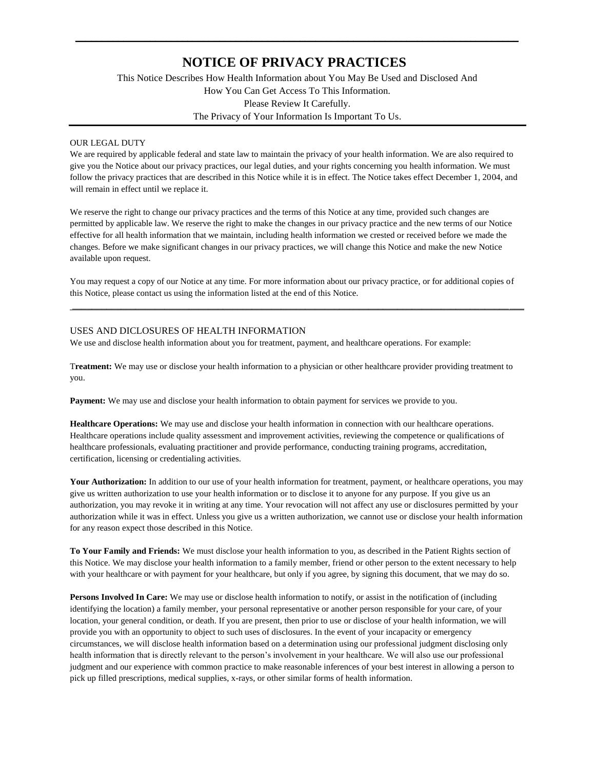# **NOTICE OF PRIVACY PRACTICES**

 $\_$ 

This Notice Describes How Health Information about You May Be Used and Disclosed And How You Can Get Access To This Information. Please Review It Carefully. The Privacy of Your Information Is Important To Us.

### OUR LEGAL DUTY

We are required by applicable federal and state law to maintain the privacy of your health information. We are also required to give you the Notice about our privacy practices, our legal duties, and your rights concerning you health information. We must follow the privacy practices that are described in this Notice while it is in effect. The Notice takes effect December 1, 2004, and will remain in effect until we replace it.

We reserve the right to change our privacy practices and the terms of this Notice at any time, provided such changes are permitted by applicable law. We reserve the right to make the changes in our privacy practice and the new terms of our Notice effective for all health information that we maintain, including health information we crested or received before we made the changes. Before we make significant changes in our privacy practices, we will change this Notice and make the new Notice available upon request.

You may request a copy of our Notice at any time. For more information about our privacy practice, or for additional copies of this Notice, please contact us using the information listed at the end of this Notice.

\_\_\_\_\_\_\_\_\_\_\_\_\_\_\_\_\_\_\_\_\_\_\_\_\_\_\_\_\_\_\_\_\_\_\_\_\_\_\_\_\_\_\_\_\_\_\_\_\_\_\_\_\_\_\_\_\_\_\_\_\_\_\_\_\_\_\_\_\_\_\_\_\_\_\_\_\_\_\_\_\_\_\_\_\_\_\_\_\_\_\_\_\_

## USES AND DICLOSURES OF HEALTH INFORMATION

We use and disclose health information about you for treatment, payment, and healthcare operations. For example:

T**reatment:** We may use or disclose your health information to a physician or other healthcare provider providing treatment to you.

Payment: We may use and disclose your health information to obtain payment for services we provide to you.

**Healthcare Operations:** We may use and disclose your health information in connection with our healthcare operations. Healthcare operations include quality assessment and improvement activities, reviewing the competence or qualifications of healthcare professionals, evaluating practitioner and provide performance, conducting training programs, accreditation, certification, licensing or credentialing activities.

Your Authorization: In addition to our use of your health information for treatment, payment, or healthcare operations, you may give us written authorization to use your health information or to disclose it to anyone for any purpose. If you give us an authorization, you may revoke it in writing at any time. Your revocation will not affect any use or disclosures permitted by your authorization while it was in effect. Unless you give us a written authorization, we cannot use or disclose your health information for any reason expect those described in this Notice.

**To Your Family and Friends:** We must disclose your health information to you, as described in the Patient Rights section of this Notice. We may disclose your health information to a family member, friend or other person to the extent necessary to help with your healthcare or with payment for your healthcare, but only if you agree, by signing this document, that we may do so.

**Persons Involved In Care:** We may use or disclose health information to notify, or assist in the notification of (including identifying the location) a family member, your personal representative or another person responsible for your care, of your location, your general condition, or death. If you are present, then prior to use or disclose of your health information, we will provide you with an opportunity to object to such uses of disclosures. In the event of your incapacity or emergency circumstances, we will disclose health information based on a determination using our professional judgment disclosing only health information that is directly relevant to the person's involvement in your healthcare. We will also use our professional judgment and our experience with common practice to make reasonable inferences of your best interest in allowing a person to pick up filled prescriptions, medical supplies, x-rays, or other similar forms of health information.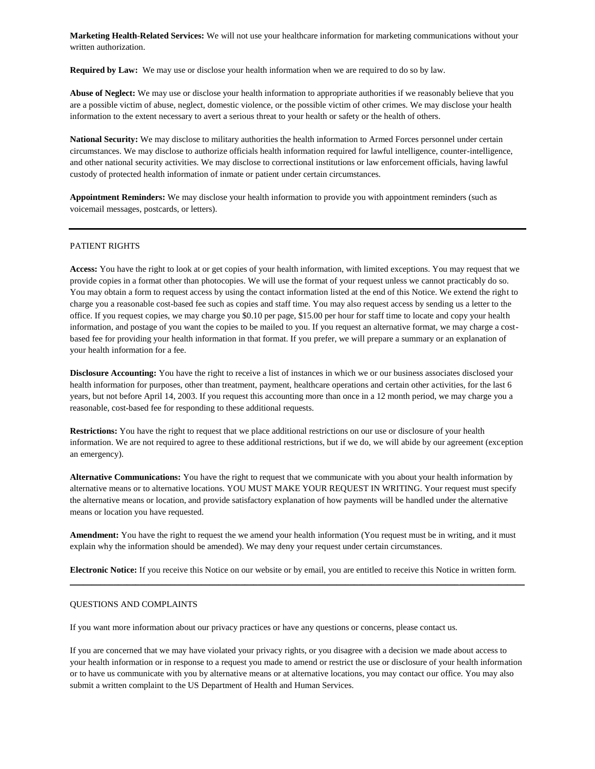**Marketing Health**-**Related Services:** We will not use your healthcare information for marketing communications without your written authorization.

**Required by Law:** We may use or disclose your health information when we are required to do so by law.

**Abuse of Neglect:** We may use or disclose your health information to appropriate authorities if we reasonably believe that you are a possible victim of abuse, neglect, domestic violence, or the possible victim of other crimes. We may disclose your health information to the extent necessary to avert a serious threat to your health or safety or the health of others.

**National Security:** We may disclose to military authorities the health information to Armed Forces personnel under certain circumstances. We may disclose to authorize officials health information required for lawful intelligence, counter-intelligence, and other national security activities. We may disclose to correctional institutions or law enforcement officials, having lawful custody of protected health information of inmate or patient under certain circumstances.

**Appointment Reminders:** We may disclose your health information to provide you with appointment reminders (such as voicemail messages, postcards, or letters).

### PATIENT RIGHTS

**Access:** You have the right to look at or get copies of your health information, with limited exceptions. You may request that we provide copies in a format other than photocopies. We will use the format of your request unless we cannot practicably do so. You may obtain a form to request access by using the contact information listed at the end of this Notice. We extend the right to charge you a reasonable cost-based fee such as copies and staff time. You may also request access by sending us a letter to the office. If you request copies, we may charge you \$0.10 per page, \$15.00 per hour for staff time to locate and copy your health information, and postage of you want the copies to be mailed to you. If you request an alternative format, we may charge a costbased fee for providing your health information in that format. If you prefer, we will prepare a summary or an explanation of your health information for a fee.

**Disclosure Accounting:** You have the right to receive a list of instances in which we or our business associates disclosed your health information for purposes, other than treatment, payment, healthcare operations and certain other activities, for the last 6 years, but not before April 14, 2003. If you request this accounting more than once in a 12 month period, we may charge you a reasonable, cost-based fee for responding to these additional requests.

**Restrictions:** You have the right to request that we place additional restrictions on our use or disclosure of your health information. We are not required to agree to these additional restrictions, but if we do, we will abide by our agreement (exception an emergency).

**Alternative Communications:** You have the right to request that we communicate with you about your health information by alternative means or to alternative locations. YOU MUST MAKE YOUR REQUEST IN WRITING. Your request must specify the alternative means or location, and provide satisfactory explanation of how payments will be handled under the alternative means or location you have requested.

**Amendment:** You have the right to request the we amend your health information (You request must be in writing, and it must explain why the information should be amended). We may deny your request under certain circumstances.

**Electronic Notice:** If you receive this Notice on our website or by email, you are entitled to receive this Notice in written form. \_\_\_\_\_\_\_\_\_\_\_\_\_\_\_\_\_\_\_\_\_\_\_\_\_\_\_\_\_\_\_\_\_\_\_\_\_\_\_\_\_\_\_\_\_\_\_\_\_\_\_\_\_\_\_\_\_\_\_\_\_\_\_\_\_\_\_\_\_\_\_\_\_\_\_\_\_\_\_\_\_\_\_\_\_\_\_\_\_\_\_\_\_\_\_\_\_\_\_\_\_\_\_\_

#### QUESTIONS AND COMPLAINTS

If you want more information about our privacy practices or have any questions or concerns, please contact us.

If you are concerned that we may have violated your privacy rights, or you disagree with a decision we made about access to your health information or in response to a request you made to amend or restrict the use or disclosure of your health information or to have us communicate with you by alternative means or at alternative locations, you may contact our office. You may also submit a written complaint to the US Department of Health and Human Services.